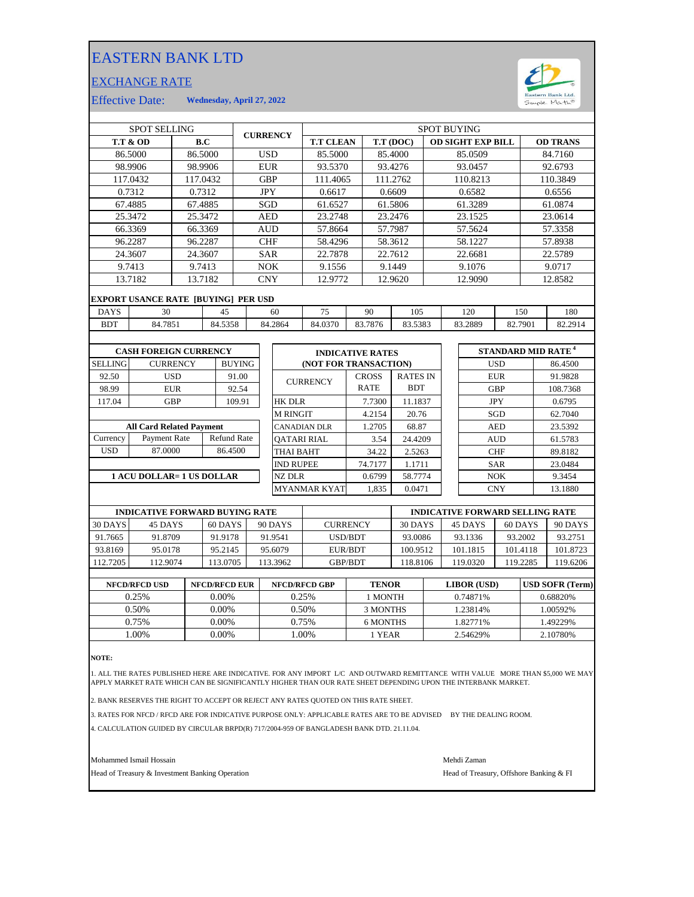## EASTERN BANK LTD

## EXCHANGE RATE



Effective Date: **Wednesday, April 27, 2022**

| <b>SPOT SELLING</b>             |                                            |                 |                    | <b>CURRENCY</b> |            | <b>SPOT BUYING</b>  |                       |                         |            |                 |         |  |                          |            |         |                                      |
|---------------------------------|--------------------------------------------|-----------------|--------------------|-----------------|------------|---------------------|-----------------------|-------------------------|------------|-----------------|---------|--|--------------------------|------------|---------|--------------------------------------|
|                                 | <b>T.T &amp; OD</b>                        |                 | B.C                |                 |            |                     | <b>T.T CLEAN</b>      |                         |            | T.T (DOC)       |         |  | <b>OD SIGHT EXP BILL</b> |            |         | <b>OD TRANS</b>                      |
|                                 | 86.5000                                    |                 | 86.5000            |                 | <b>USD</b> |                     | 85.5000               |                         |            | 85.4000         |         |  | 85.0509                  |            |         | 84.7160                              |
|                                 | 98.9906                                    |                 | 98.9906            |                 | <b>EUR</b> |                     | 93.5370               |                         |            | 93.4276         |         |  | 93.0457                  |            |         | 92.6793                              |
|                                 | 117.0432                                   |                 | 117.0432           |                 | <b>GBP</b> |                     | 111.4065              |                         |            | 111.2762        |         |  | 110.8213                 |            |         | 110.3849                             |
|                                 | 0.7312                                     |                 | 0.7312             |                 | <b>JPY</b> |                     | 0.6617                |                         |            | 0.6609          |         |  | 0.6582                   |            |         | 0.6556                               |
|                                 | 67.4885                                    |                 | 67.4885            |                 |            | SGD<br>61.6527      |                       |                         | 61.5806    |                 | 61.3289 |  |                          |            | 61.0874 |                                      |
|                                 | 25.3472                                    |                 | 25.3472            |                 | <b>AED</b> |                     | 23.2748               |                         |            | 23.2476         |         |  | 23.1525                  |            |         | 23.0614                              |
|                                 | 66.3369                                    |                 | 66.3369            |                 | <b>AUD</b> |                     | 57.8664               |                         |            | 57.7987         |         |  | 57.5624                  |            |         | 57.3358                              |
|                                 | 96.2287                                    |                 | 96.2287            |                 | <b>CHF</b> |                     | 58.4296               |                         | 58.3612    |                 | 58.1227 |  |                          |            | 57.8938 |                                      |
| 24.3607<br>24.3607              |                                            |                 | <b>SAR</b>         |                 |            | 22.7878             |                       | 22.7612                 |            | 22.6681         |         |  |                          | 22.5789    |         |                                      |
| 9.7413                          |                                            | 9.7413          |                    | <b>NOK</b>      |            |                     | 9.1556                |                         |            | 9.1449          |         |  | 9.1076                   |            | 9.0717  |                                      |
|                                 | 13.7182                                    |                 | 13.7182            |                 | <b>CNY</b> |                     | 12.9772               |                         |            | 12.9620         |         |  | 12.9090                  |            |         | 12.8582                              |
|                                 | <b>EXPORT USANCE RATE [BUYING] PER USD</b> |                 |                    |                 |            |                     |                       |                         |            |                 |         |  |                          |            |         |                                      |
| <b>DAYS</b>                     | 30                                         |                 | 45                 |                 |            | 60                  | 75                    | 90                      |            | 105             |         |  | 120                      | 150        |         | 180                                  |
| <b>BDT</b>                      | 84.7851                                    |                 | 84.5358            |                 |            | 84.2864             | 84.0370               | 83.7876                 |            | 83.5383         |         |  | 83.2889                  | 82.7901    |         | 82.2914                              |
|                                 |                                            |                 |                    |                 |            |                     |                       |                         |            |                 |         |  |                          |            |         |                                      |
|                                 | <b>CASH FOREIGN CURRENCY</b>               |                 |                    |                 |            |                     |                       | <b>INDICATIVE RATES</b> |            |                 |         |  |                          |            |         | <b>STANDARD MID RATE<sup>4</sup></b> |
| <b>SELLING</b>                  |                                            | <b>CURRENCY</b> | <b>BUYING</b>      |                 |            |                     | (NOT FOR TRANSACTION) |                         |            |                 |         |  |                          | <b>USD</b> |         | 86.4500                              |
| 92.50                           |                                            | <b>USD</b>      | 91.00              |                 |            |                     | <b>CURRENCY</b>       | <b>CROSS</b>            |            | <b>RATES IN</b> |         |  |                          | <b>EUR</b> |         | 91.9828                              |
| 98.99                           |                                            | <b>EUR</b>      | 92.54              |                 |            |                     |                       | <b>RATE</b>             | <b>BDT</b> |                 |         |  | <b>GBP</b>               |            |         | 108.7368                             |
| 117.04                          | <b>GBP</b>                                 |                 | 109.91             |                 |            | <b>HK DLR</b>       |                       | 7.7300                  |            | 11.1837         |         |  | <b>JPY</b>               |            |         | 0.6795                               |
|                                 |                                            |                 |                    |                 |            | <b>M RINGIT</b>     |                       | 4.2154                  |            | 20.76           |         |  |                          | SGD        |         | 62.7040                              |
| <b>All Card Related Payment</b> |                                            |                 |                    |                 |            | <b>CANADIAN DLR</b> |                       | 1.2705                  |            | 68.87           |         |  |                          | <b>AED</b> |         | 23.5392                              |
| Currency                        | Payment Rate                               |                 | <b>Refund Rate</b> |                 |            | <b>OATARI RIAL</b>  |                       | 3.54                    |            | 24.4209         |         |  |                          | <b>AUD</b> |         | 61.5783                              |
| <b>USD</b>                      | 87.0000                                    |                 | 86.4500            |                 |            | <b>THAI BAHT</b>    |                       | 34.22                   |            | 2.5263          |         |  |                          | <b>CHF</b> |         | 89.8182                              |
|                                 |                                            |                 |                    |                 |            | <b>IND RUPEE</b>    |                       | 74.7177                 |            | 1.1711          |         |  |                          | <b>SAR</b> |         | 23.0484                              |

## **1 ACU DOLLAR= 1 US DOLLAR**

| <b>CURRENCY</b>  | <b>CROSS</b> | <b>RATES IN</b> | <b>EUR</b> | 91.9828  |
|------------------|--------------|-----------------|------------|----------|
|                  | <b>RATE</b>  | <b>BDT</b>      | <b>GBP</b> | 108.7368 |
| HK DLR           | 7.7300       | 11.1837         | <b>JPY</b> | 0.6795   |
| M RINGIT         | 4.2154       | 20.76           | SGD        | 62.7040  |
| CANADIAN DLR     | 1.2705       | 68.87           | <b>AED</b> | 23.5392  |
| OATARI RIAL      | 3.54         | 24.4209         | <b>AUD</b> | 61.5783  |
| THAI BAHT        | 34.22        | 2.5263          | <b>CHF</b> | 89.8182  |
| <b>IND RUPEE</b> | 74.7177      | 1.1711          | <b>SAR</b> | 23.0484  |
| NZ DLR           | 0.6799       | 58.7774         | <b>NOK</b> | 9.3454   |
| MYANMAR KYAT     | 1.835        | 0.0471          | <b>CNY</b> | 13.1880  |

| <b>INDICATIVE FORWARD BUYING RATE</b> |          |          |          |                 |          | <b>INDICATIVE FORWARD SELLING RATE</b> |          |          |
|---------------------------------------|----------|----------|----------|-----------------|----------|----------------------------------------|----------|----------|
| 30 DAYS                               | 45 DAYS  | 60 DAYS  | 90 DAYS  | <b>CURRENCY</b> | 30 DAYS  | 45 DAYS                                | 60 DAYS  | 90 DAYS  |
| 91.7665                               | 91.8709  | 91.9178  | 91.9541  | USD/BDT         | 93.0086  | 93.1336                                | 93.2002  | 93.2751  |
| 93.8169                               | 95.0178  | 95.2145  | 95.6079  | EUR/BDT         | 100.9512 | 101.1815                               | 101.4118 | 101.8723 |
| 112.7205                              | 112.9074 | 113.0705 | 113.3962 | <b>GBP/BDT</b>  | 118.8106 | 119.0320                               | 119.2285 | 119.6206 |
|                                       |          |          |          |                 |          |                                        |          |          |

| <b>NFCD/RFCD USD</b> | <b>NFCD/RFCD EUR</b> | <b>NFCD/RFCD GBP</b> | <b>TENOR</b> | <b>LIBOR</b> (USD) | <b>USD SOFR (Term)</b> |
|----------------------|----------------------|----------------------|--------------|--------------------|------------------------|
| 0.25%                | $0.00\%$             | 0.25%                | 1 MONTH      | 0.74871%           | 0.68820\%              |
| 0.50%                | $0.00\%$             | 0.50%                | 3 MONTHS     | 1.23814%           | .00592%                |
| 0.75%                | 0.00%                | 0.75%                | 6 MONTHS     | 1.82771%           | .49229%                |
| .00%                 | 0.00%                | .00%                 | l YEAR       | 2.54629%           | 2.10780\%              |
|                      |                      |                      |              |                    |                        |

**NOTE:**

1. ALL THE RATES PUBLISHED HERE ARE INDICATIVE. FOR ANY IMPORT L/C AND OUTWARD REMITTANCE WITH VALUE MORE THAN \$5,000 WE MAY APPLY MARKET RATE WHICH CAN BE SIGNIFICANTLY HIGHER THAN OUR RATE SHEET DEPENDING UPON THE INTERBANK MARKET.

2. BANK RESERVES THE RIGHT TO ACCEPT OR REJECT ANY RATES QUOTED ON THIS RATE SHEET.

3. RATES FOR NFCD / RFCD ARE FOR INDICATIVE PURPOSE ONLY: APPLICABLE RATES ARE TO BE ADVISED BY THE DEALING ROOM.

4. CALCULATION GUIDED BY CIRCULAR BRPD(R) 717/2004-959 OF BANGLADESH BANK DTD. 21.11.04.

Mohammed Ismail Hossain Mehdi Zaman

Head of Treasury & Investment Banking Operation **Head of Treasury, Offshore Banking & FI**